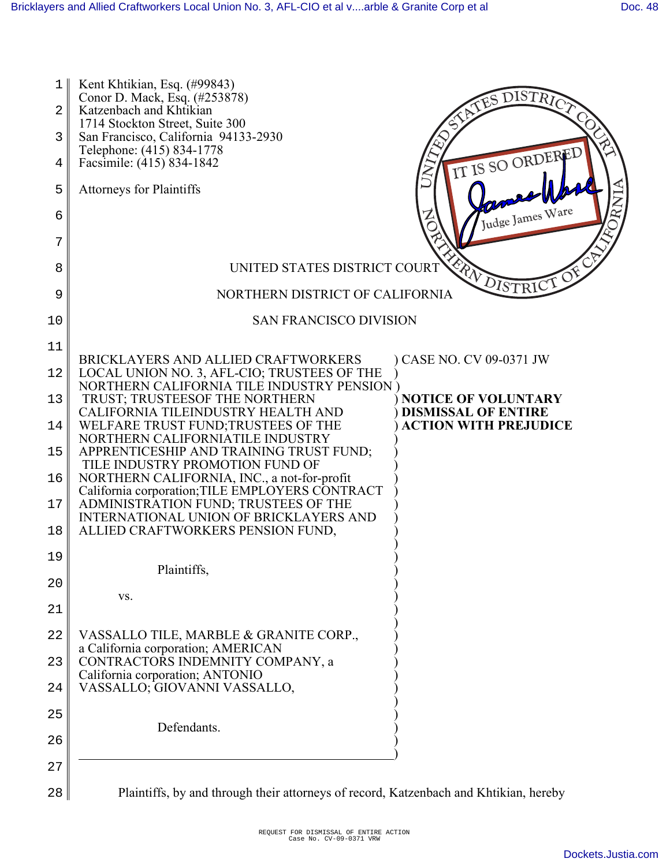| 1<br>2<br>3 | Kent Khtikian, Esq. (#99843)<br>DISTRICT<br>Conor D. Mack, Esq. (#253878)<br>Katzenbach and Khtikian<br>1714 Stockton Street, Suite 300<br>San Francisco, California 94133-2930 |
|-------------|---------------------------------------------------------------------------------------------------------------------------------------------------------------------------------|
| 4           | Telephone: (415) 834-1778<br>IT IS SO ORDERED<br>Facsimile: (415) 834-1842                                                                                                      |
| 5           | <b>Attorneys for Plaintiffs</b>                                                                                                                                                 |
| 6           | Judge James Ware                                                                                                                                                                |
| 7           |                                                                                                                                                                                 |
| 8           | FRANDISTRICT OF<br>UNITED STATES DISTRICT COURT                                                                                                                                 |
| 9           | NORTHERN DISTRICT OF CALIFORNIA                                                                                                                                                 |
| 10          | <b>SAN FRANCISCO DIVISION</b>                                                                                                                                                   |
| 11          | BRICKLAYERS AND ALLIED CRAFTWORKERS<br>CASE NO. CV 09-0371 JW                                                                                                                   |
| 12          | LOCAL UNION NO. 3, AFL-CIO; TRUSTEES OF THE<br>NORTHERN CALIFORNIA TILE INDUSTRY PENSION )                                                                                      |
| 13          | TRUST; TRUSTEESOF THE NORTHERN<br><b>NOTICE OF VOLUNTARY</b><br>CALIFORNIA TILEINDUSTRY HEALTH AND<br><b>DISMISSAL OF ENTIRE</b>                                                |
| 14          | <b>ACTION WITH PREJUDICE</b><br>WELFARE TRUST FUND; TRUSTEES OF THE<br>NORTHERN CALIFORNIATILE INDUSTRY                                                                         |
| 15          | APPRENTICESHIP AND TRAINING TRUST FUND;<br>TILE INDUSTRY PROMOTION FUND OF                                                                                                      |
| 16          | NORTHERN CALIFORNIA, INC., a not-for-profit<br>California corporation; TILE EMPLOYERS CONTRACT                                                                                  |
| 17          | ADMINISTRATION FUND; TRUSTEES OF THE<br>INTERNATIONAL UNION OF BRICKLAYERS AND                                                                                                  |
| 18          | ALLIED CRAFTWORKERS PENSION FUND,                                                                                                                                               |
| 19          | Plaintiffs,                                                                                                                                                                     |
| 20          | VS.                                                                                                                                                                             |
| 21          |                                                                                                                                                                                 |
| 22          | VASSALLO TILE, MARBLE & GRANITE CORP.,<br>a California corporation; AMERICAN                                                                                                    |
| 23          | CONTRACTORS INDEMNITY COMPANY, a<br>California corporation; ANTONIO                                                                                                             |
| 24          | VASSALLO; GIOVANNI VASSALLO,                                                                                                                                                    |
| 25          | Defendants.                                                                                                                                                                     |
| 26          |                                                                                                                                                                                 |
| 27          |                                                                                                                                                                                 |
| 28          | Plaintiffs, by and through their attorneys of record, Katzenbach and Khtikian, hereby                                                                                           |